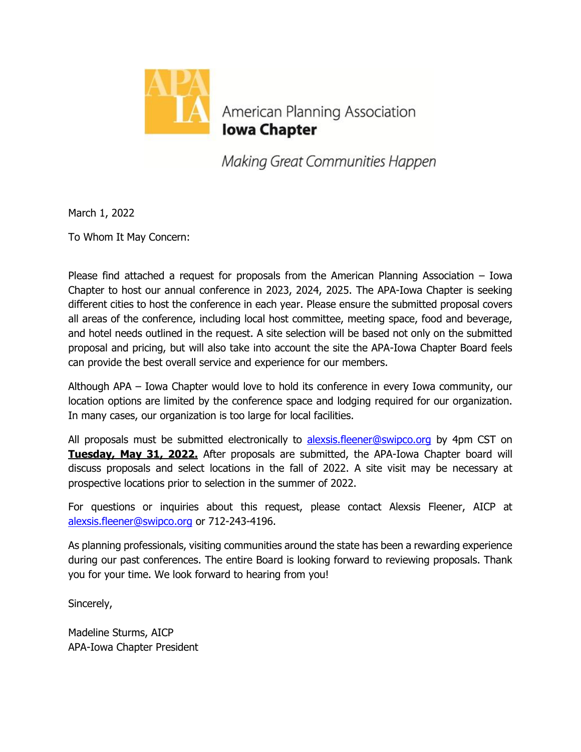

American Planning Association **Iowa Chapter** 

Making Great Communities Happen

March 1, 2022

To Whom It May Concern:

Please find attached a request for proposals from the American Planning Association – Iowa Chapter to host our annual conference in 2023, 2024, 2025. The APA-Iowa Chapter is seeking different cities to host the conference in each year. Please ensure the submitted proposal covers all areas of the conference, including local host committee, meeting space, food and beverage, and hotel needs outlined in the request. A site selection will be based not only on the submitted proposal and pricing, but will also take into account the site the APA-Iowa Chapter Board feels can provide the best overall service and experience for our members.

Although APA – Iowa Chapter would love to hold its conference in every Iowa community, our location options are limited by the conference space and lodging required for our organization. In many cases, our organization is too large for local facilities.

All proposals must be submitted electronically to [alexsis.fleener@swipco.org](mailto:alexsis.fleener@swipco.org) by 4pm CST on **Tuesday, May 31, 2022.** After proposals are submitted, the APA-Iowa Chapter board will discuss proposals and select locations in the fall of 2022. A site visit may be necessary at prospective locations prior to selection in the summer of 2022.

For questions or inquiries about this request, please contact Alexsis Fleener, AICP at [alexsis.fleener@swipco.org](mailto:alexsis.fleener@swipco.org) or 712-243-4196.

As planning professionals, visiting communities around the state has been a rewarding experience during our past conferences. The entire Board is looking forward to reviewing proposals. Thank you for your time. We look forward to hearing from you!

Sincerely,

Madeline Sturms, AICP APA-Iowa Chapter President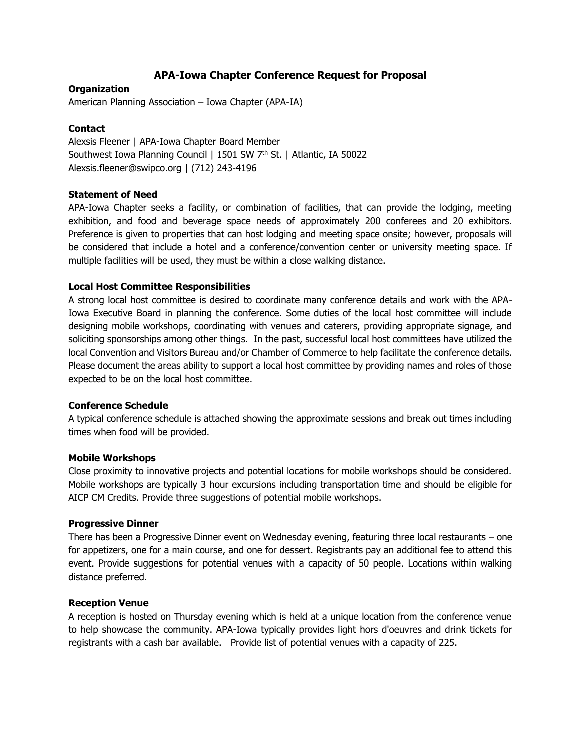## **APA-Iowa Chapter Conference Request for Proposal**

## **Organization**

American Planning Association – Iowa Chapter (APA-IA)

### **Contact**

Alexsis Fleener | APA-Iowa Chapter Board Member Southwest Iowa Planning Council | 1501 SW 7<sup>th</sup> St. | Atlantic, IA 50022 Alexsis.fleener@swipco.org | (712) 243-4196

#### **Statement of Need**

APA-Iowa Chapter seeks a facility, or combination of facilities, that can provide the lodging, meeting exhibition, and food and beverage space needs of approximately 200 conferees and 20 exhibitors. Preference is given to properties that can host lodging and meeting space onsite; however, proposals will be considered that include a hotel and a conference/convention center or university meeting space. If multiple facilities will be used, they must be within a close walking distance.

#### **Local Host Committee Responsibilities**

A strong local host committee is desired to coordinate many conference details and work with the APA-Iowa Executive Board in planning the conference. Some duties of the local host committee will include designing mobile workshops, coordinating with venues and caterers, providing appropriate signage, and soliciting sponsorships among other things. In the past, successful local host committees have utilized the local Convention and Visitors Bureau and/or Chamber of Commerce to help facilitate the conference details. Please document the areas ability to support a local host committee by providing names and roles of those expected to be on the local host committee.

#### **Conference Schedule**

A typical conference schedule is attached showing the approximate sessions and break out times including times when food will be provided.

#### **Mobile Workshops**

Close proximity to innovative projects and potential locations for mobile workshops should be considered. Mobile workshops are typically 3 hour excursions including transportation time and should be eligible for AICP CM Credits. Provide three suggestions of potential mobile workshops.

#### **Progressive Dinner**

There has been a Progressive Dinner event on Wednesday evening, featuring three local restaurants – one for appetizers, one for a main course, and one for dessert. Registrants pay an additional fee to attend this event. Provide suggestions for potential venues with a capacity of 50 people. Locations within walking distance preferred.

#### **Reception Venue**

A reception is hosted on Thursday evening which is held at a unique location from the conference venue to help showcase the community. APA-Iowa typically provides light hors d'oeuvres and drink tickets for registrants with a cash bar available. Provide list of potential venues with a capacity of 225.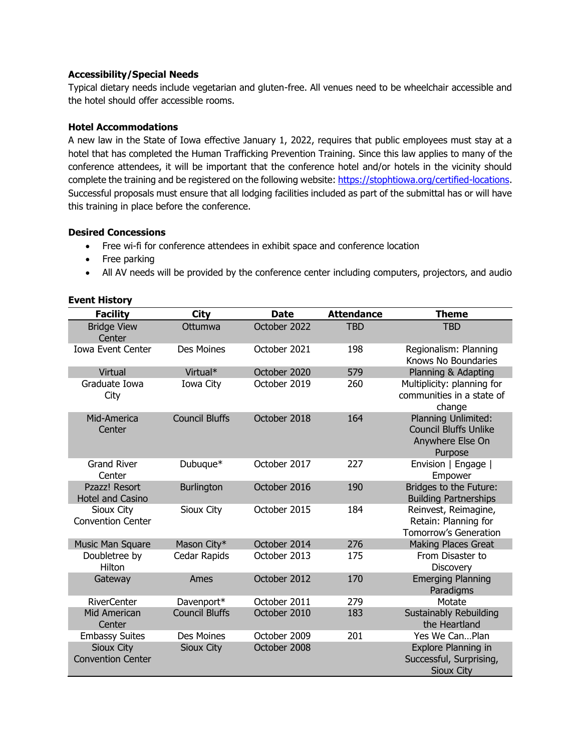## **Accessibility/Special Needs**

Typical dietary needs include vegetarian and gluten-free. All venues need to be wheelchair accessible and the hotel should offer accessible rooms.

## **Hotel Accommodations**

A new law in the State of Iowa effective January 1, 2022, requires that public employees must stay at a hotel that has completed the Human Trafficking Prevention Training. Since this law applies to many of the conference attendees, it will be important that the conference hotel and/or hotels in the vicinity should complete the training and be registered on the following website[: https://stophtiowa.org/certified-locations.](https://stophtiowa.org/certified-locations) Successful proposals must ensure that all lodging facilities included as part of the submittal has or will have this training in place before the conference.

## **Desired Concessions**

- Free wi-fi for conference attendees in exhibit space and conference location
- Free parking
- All AV needs will be provided by the conference center including computers, projectors, and audio

#### **Event History**

| <b>Facility</b>                               | <b>City</b>           | <b>Date</b>  | <b>Attendance</b> | <b>Theme</b>                                                                              |
|-----------------------------------------------|-----------------------|--------------|-------------------|-------------------------------------------------------------------------------------------|
| <b>Bridge View</b><br>Center                  | Ottumwa               | October 2022 | <b>TBD</b>        | <b>TBD</b>                                                                                |
| <b>Iowa Event Center</b>                      | Des Moines            | October 2021 | 198               | Regionalism: Planning<br>Knows No Boundaries                                              |
| Virtual                                       | Virtual*              | October 2020 | 579               | Planning & Adapting                                                                       |
| Graduate Iowa<br>City                         | Iowa City             | October 2019 | 260               | Multiplicity: planning for<br>communities in a state of<br>change                         |
| Mid-America<br>Center                         | <b>Council Bluffs</b> | October 2018 | 164               | <b>Planning Unlimited:</b><br><b>Council Bluffs Unlike</b><br>Anywhere Else On<br>Purpose |
| <b>Grand River</b><br>Center                  | Dubuque*              | October 2017 | 227               | Envision   Engage  <br>Empower                                                            |
| Pzazz! Resort<br><b>Hotel and Casino</b>      | <b>Burlington</b>     | October 2016 | 190               | Bridges to the Future:<br><b>Building Partnerships</b>                                    |
| Sioux City<br><b>Convention Center</b>        | Sioux City            | October 2015 | 184               | Reinvest, Reimagine,<br>Retain: Planning for<br><b>Tomorrow's Generation</b>              |
| Music Man Square                              | Mason City*           | October 2014 | 276               | <b>Making Places Great</b>                                                                |
| Doubletree by<br>Hilton                       | Cedar Rapids          | October 2013 | 175               | From Disaster to<br><b>Discovery</b>                                                      |
| Gateway                                       | Ames                  | October 2012 | 170               | <b>Emerging Planning</b><br>Paradigms                                                     |
| <b>RiverCenter</b>                            | Davenport*            | October 2011 | 279               | Motate                                                                                    |
| Mid American<br>Center                        | <b>Council Bluffs</b> | October 2010 | 183               | Sustainably Rebuilding<br>the Heartland                                                   |
| <b>Embassy Suites</b>                         | Des Moines            | October 2009 | 201               | Yes We CanPlan                                                                            |
| <b>Sioux City</b><br><b>Convention Center</b> | <b>Sioux City</b>     | October 2008 |                   | Explore Planning in<br>Successful, Surprising,<br>Sioux City                              |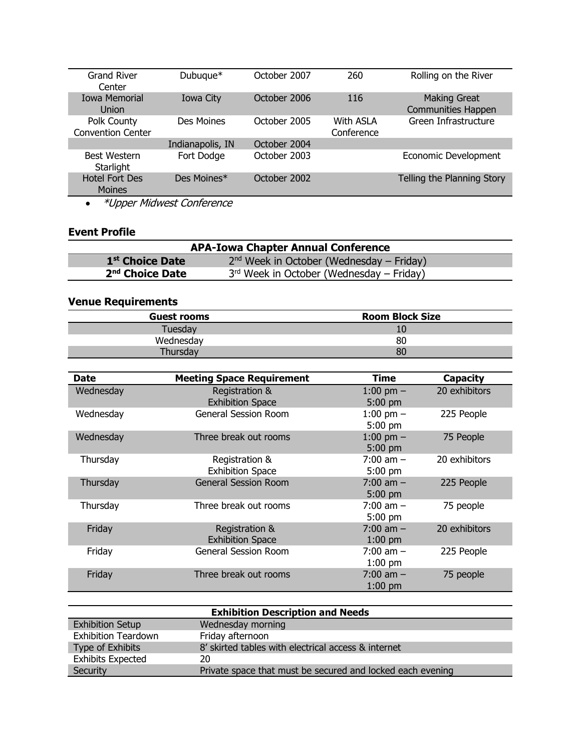| <b>Grand River</b><br>Center            | Dubuque*         | October 2007 | 260                            | Rolling on the River                             |
|-----------------------------------------|------------------|--------------|--------------------------------|--------------------------------------------------|
| <b>Iowa Memorial</b><br><b>Union</b>    | Iowa City        | October 2006 | 116                            | <b>Making Great</b><br><b>Communities Happen</b> |
| Polk County<br><b>Convention Center</b> | Des Moines       | October 2005 | <b>With ASLA</b><br>Conference | Green Infrastructure                             |
|                                         | Indianapolis, IN | October 2004 |                                |                                                  |
| <b>Best Western</b><br>Starlight        | Fort Dodge       | October 2003 |                                | Economic Development                             |
| <b>Hotel Fort Des</b><br><b>Moines</b>  | Des Moines*      | October 2002 |                                | Telling the Planning Story                       |
| $\cdots$<br>----                        | .                |              |                                |                                                  |

• \*Upper Midwest Conference

# **Event Profile**

| <b>APA-Iowa Chapter Annual Conference</b> |                                            |  |  |
|-------------------------------------------|--------------------------------------------|--|--|
| 1 <sup>st</sup> Choice Date               | $2nd$ Week in October (Wednesday – Friday) |  |  |
| 2 <sup>nd</sup> Choice Date               | $3rd$ Week in October (Wednesday – Friday) |  |  |

## **Venue Requirements**

| <b>Guest rooms</b> | <b>Room Block Size</b> |
|--------------------|------------------------|
| Tuesday            | 10                     |
| Wednesday          | 80                     |
|                    | 80                     |

| Date      | <b>Meeting Space Requirement</b>          | Time                       | <b>Capacity</b> |
|-----------|-------------------------------------------|----------------------------|-----------------|
| Wednesday | Registration &<br><b>Exhibition Space</b> | 1:00 pm $-$<br>$5:00$ pm   | 20 exhibitors   |
| Wednesday | <b>General Session Room</b>               | 1:00 pm $-$<br>$5:00$ pm   | 225 People      |
| Wednesday | Three break out rooms                     | 1:00 pm $-$<br>$5:00$ pm   | 75 People       |
| Thursday  | Registration &<br><b>Exhibition Space</b> | $7:00$ am $-$<br>$5:00$ pm | 20 exhibitors   |
| Thursday  | <b>General Session Room</b>               | $7:00$ am $-$<br>$5:00$ pm | 225 People      |
| Thursday  | Three break out rooms                     | $7:00$ am $-$<br>$5:00$ pm | 75 people       |
| Friday    | Registration &<br><b>Exhibition Space</b> | $7:00$ am $-$<br>$1:00$ pm | 20 exhibitors   |
| Friday    | <b>General Session Room</b>               | $7:00$ am $-$<br>$1:00$ pm | 225 People      |
| Friday    | Three break out rooms                     | $7:00$ am $-$<br>$1:00$ pm | 75 people       |

| <b>Exhibition Description and Needs</b> |                                                            |  |  |
|-----------------------------------------|------------------------------------------------------------|--|--|
| <b>Exhibition Setup</b>                 | Wednesday morning                                          |  |  |
| <b>Exhibition Teardown</b>              | Friday afternoon                                           |  |  |
| Type of Exhibits                        | 8' skirted tables with electrical access & internet        |  |  |
| <b>Exhibits Expected</b>                | 20                                                         |  |  |
| Security                                | Private space that must be secured and locked each evening |  |  |